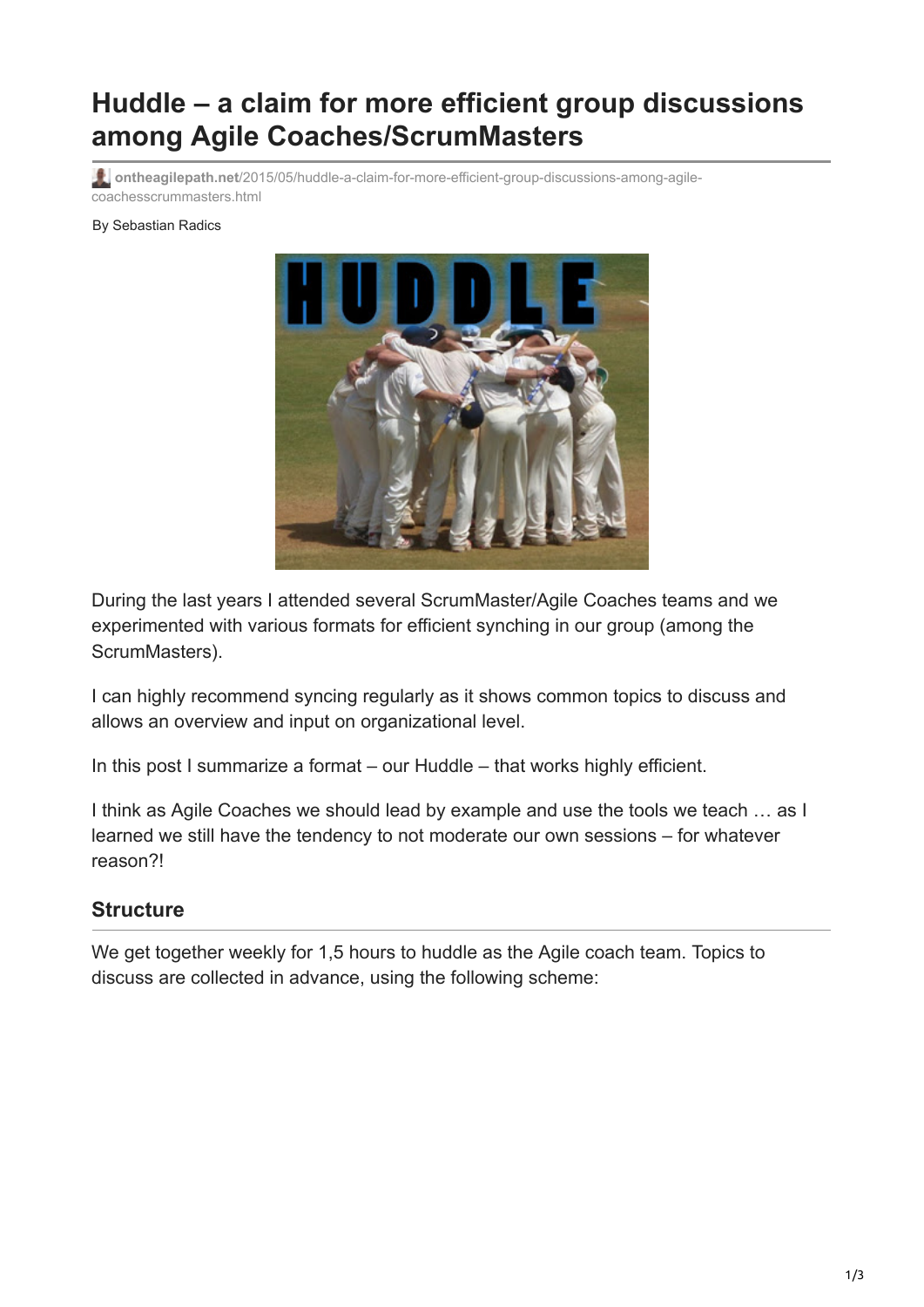# **Huddle – a claim for more efficient group discussions among Agile Coaches/ScrumMasters**

**ontheagilepath.net**[/2015/05/huddle-a-claim-for-more-efficient-group-discussions-among-agile](https://www.ontheagilepath.net/2015/05/huddle-a-claim-for-more-efficient-group-discussions-among-agile-coachesscrummasters.html)coachesscrummasters.html

#### By Sebastian Radics



During the last years I attended several ScrumMaster/Agile Coaches teams and we experimented with various formats for efficient synching in our group (among the ScrumMasters).

I can highly recommend syncing regularly as it shows common topics to discuss and allows an overview and input on organizational level.

In this post I summarize a format – our Huddle – that works highly efficient.

I think as Agile Coaches we should lead by example and use the tools we teach … as I learned we still have the tendency to not moderate our own sessions – for whatever reason?!

#### **Structure**

We get together weekly for 1,5 hours to huddle as the Agile coach team. Topics to discuss are collected in advance, using the following scheme: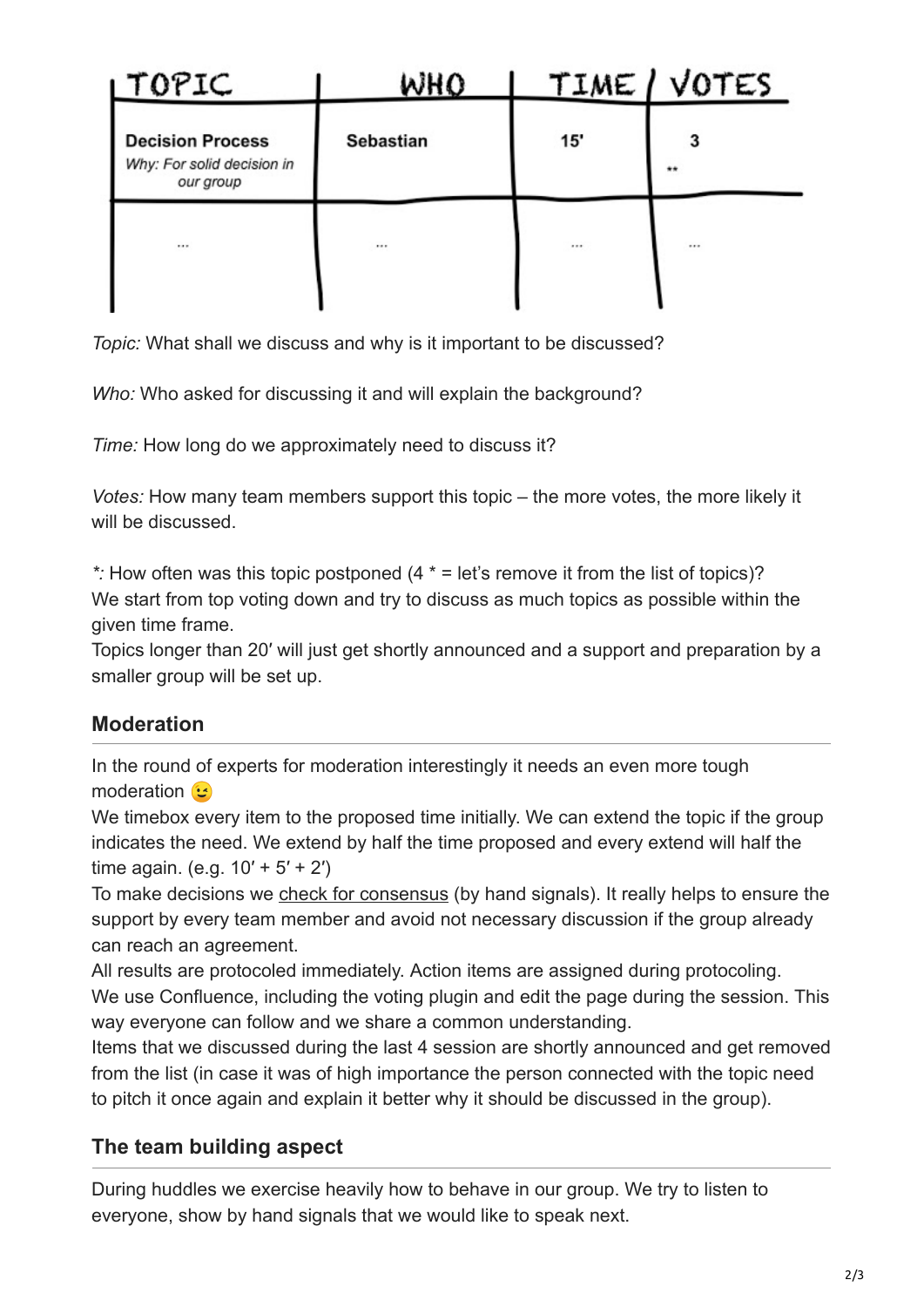| <b>LTOPIC</b>                                                      | WHO              |     | TIME / VOTES |
|--------------------------------------------------------------------|------------------|-----|--------------|
| <b>Decision Process</b><br>Why: For solid decision in<br>our group | <b>Sebastian</b> | 15' | **           |
|                                                                    |                  |     |              |

*Topic:* What shall we discuss and why is it important to be discussed?

*Who:* Who asked for discussing it and will explain the background?

*Time:* How long do we approximately need to discuss it?

*Votes:* How many team members support this topic – the more votes, the more likely it will be discussed.

*\*:* How often was this topic postponed (4 \* = let's remove it from the list of topics)? We start from top voting down and try to discuss as much topics as possible within the given time frame.

Topics longer than 20′ will just get shortly announced and a support and preparation by a smaller group will be set up.

### **Moderation**

In the round of experts for moderation interestingly it needs an even more tough moderation **b** 

We timebox every item to the proposed time initially. We can extend the topic if the group indicates the need. We extend by half the time proposed and every extend will half the time again. (e.g.  $10' + 5' + 2'$ )

To make decisions we [check for consensus](http://www.ontheagilepath.net/2015/05/efficient-group-decisions-using-7.html) (by hand signals). It really helps to ensure the support by every team member and avoid not necessary discussion if the group already can reach an agreement.

All results are protocoled immediately. Action items are assigned during protocoling. We use Confluence, including the voting plugin and edit the page during the session. This way everyone can follow and we share a common understanding.

Items that we discussed during the last 4 session are shortly announced and get removed from the list (in case it was of high importance the person connected with the topic need to pitch it once again and explain it better why it should be discussed in the group).

## **The team building aspect**

During huddles we exercise heavily how to behave in our group. We try to listen to everyone, show by hand signals that we would like to speak next.